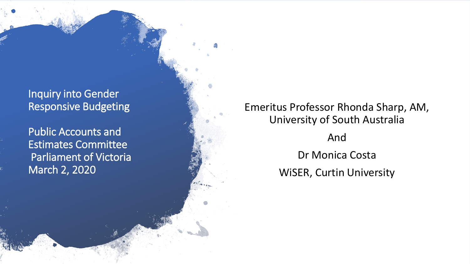## Inquiry into Gender Responsive Budgeting

Public Accounts and Estimates Committee Parliament of Victoria March 2, 2020

## Emeritus Professor Rhonda Sharp, AM, University of South Australia

And Dr Monica Costa WiSER, Curtin University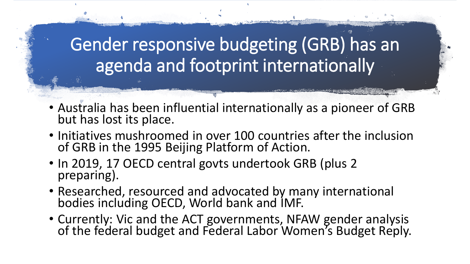# Gender responsive budgeting (GRB) has an agenda and footprint internationally

- Australia has been influential internationally as a pioneer of GRB but has lost its place.
- Initiatives mushroomed in over 100 countries after the inclusion of GRB in the 1995 Beijing Platform of Action.
- In 2019, 17 OECD central govts undertook GRB (plus 2) preparing).
- Researched, resourced and advocated by many international bodies including OECD, World bank and IMF.
- Currently: Vic and the ACT governments, NFAW gender analysis of the federal budget and Federal Labor Women's Budget Reply.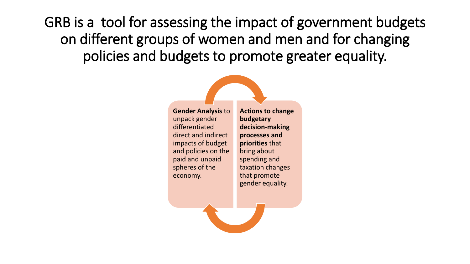GRB is a tool for assessing the impact of government budgets on different groups of women and men and for changing policies and budgets to promote greater equality.



**Actions to change budgetary decision-making processes and priorities** that bring about spending and taxation changes that promote gender equality.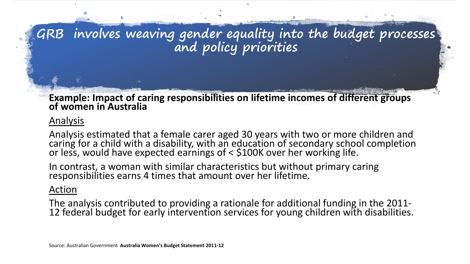

#### **Example: Impact of caring responsibilities on lifetime incomes of different groups of women in Australia**

### Analysis

Analysis estimated that a female carer aged 30 years with two or more children and caring for a child with a disability, with an education of secondary school completion or less, would have expected earnings of < \$100K over her working life.

In contrast, a woman with similar characteristics but without primary caring responsibilities earns 4 times that amount over her lifetime.

#### Action

The analysis contributed to providing a rationale for additional funding in the 2011-<br>12 federal budget for early intervention services for young children with disabilities.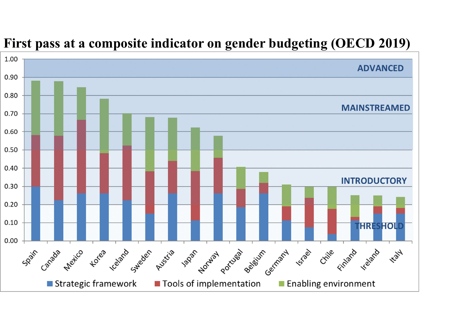

## **First pass at a composite indicator on gender budgeting (OECD 2019)**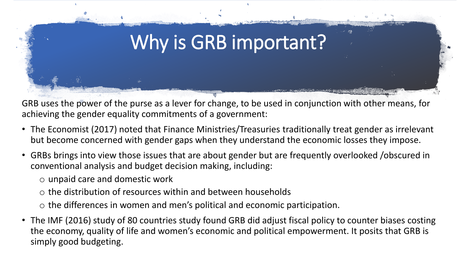

GRB uses the power of the purse as a lever for change, to be used in conjunction with other means, for achieving the gender equality commitments of a government:

- The Economist (2017) noted that Finance Ministries/Treasuries traditionally treat gender as irrelevant but become concerned with gender gaps when they understand the economic losses they impose.
- GRBs brings into view those issues that are about gender but are frequently overlooked /obscured in conventional analysis and budget decision making, including:
	- o unpaid care and domestic work
	- o the distribution of resources within and between households
	- o the differences in women and men's political and economic participation.
- The IMF (2016) study of 80 countries study found GRB did adjust fiscal policy to counter biases costing the economy, quality of life and women's economic and political empowerment. It posits that GRB is simply good budgeting.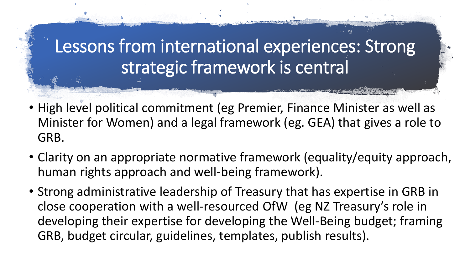# Lessons from international experiences: Strong strategic framework is central

- High level political commitment (eg Premier, Finance Minister as well as Minister for Women) and a legal framework (eg. GEA) that gives a role to GRB.
- Clarity on an appropriate normative framework (equality/equity approach, human rights approach and well-being framework).
- Strong administrative leadership of Treasury that has expertise in GRB in close cooperation with a well-resourced OfW (eg NZ Treasury's role in developing their expertise for developing the Well-Being budget; framing GRB, budget circular, guidelines, templates, publish results).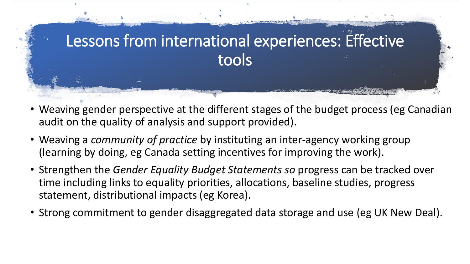

- Weaving gender perspective at the different stages of the budget process (eg Canadian audit on the quality of analysis and support provided).
- Weaving a *community of practice* by instituting an inter-agency working group (learning by doing, eg Canada setting incentives for improving the work).
- Strengthen the *Gender Equality Budget Statements so* progress can be tracked over time including links to equality priorities, allocations, baseline studies, progress statement, distributional impacts (eg Korea).
- Strong commitment to gender disaggregated data storage and use (eg UK New Deal).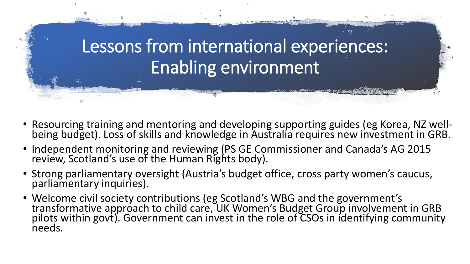

- Resourcing training and mentoring and developing supporting guides (eg Korea, NZ well-<br>being budget). Loss of skills and knowledge in Australia requires new investment in GRB.
- Independent monitoring and reviewing (PS GE Commissioner and Canada's AG 2015 review, Scotland's use of the Human Rights body).
- Strong parliamentary oversight (Austria's budget office, cross party women's caucus, parliamentary inquiries).
- Welcome civil society contributions (eg Scotland's WBG and the government's transformative approach to child care, UK Women's Budget Group involvement in GRB pilots within govt). Government can invest in the role of CSOs in identifying community needs.